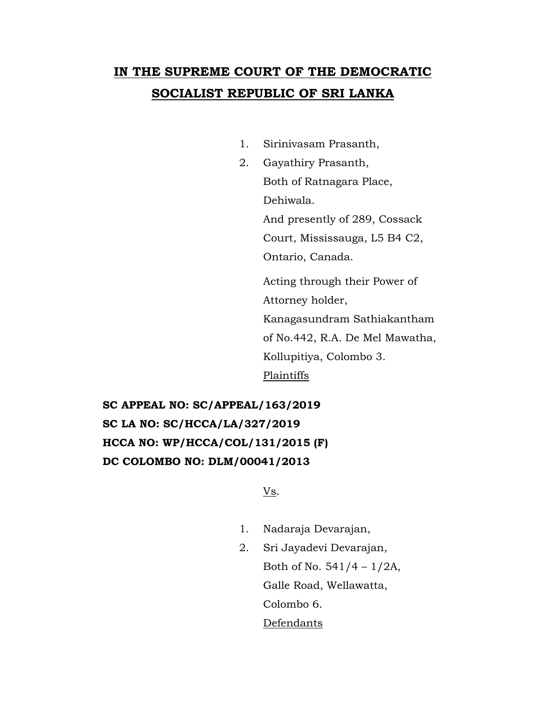## **IN THE SUPREME COURT OF THE DEMOCRATIC SOCIALIST REPUBLIC OF SRI LANKA**

- 1. Sirinivasam Prasanth,
- 2. Gayathiry Prasanth, Both of Ratnagara Place, Dehiwala. And presently of 289, Cossack Court, Mississauga, L5 B4 C2, Ontario, Canada.

Acting through their Power of Attorney holder, Kanagasundram Sathiakantham of No.442, R.A. De Mel Mawatha, Kollupitiya, Colombo 3. Plaintiffs

**SC APPEAL NO: SC/APPEAL/163/2019 SC LA NO: SC/HCCA/LA/327/2019 HCCA NO: WP/HCCA/COL/131/2015 (F) DC COLOMBO NO: DLM/00041/2013**

Vs.

- 1. Nadaraja Devarajan,
- 2. Sri Jayadevi Devarajan, Both of No.  $541/4 - 1/2A$ , Galle Road, Wellawatta, Colombo 6. Defendants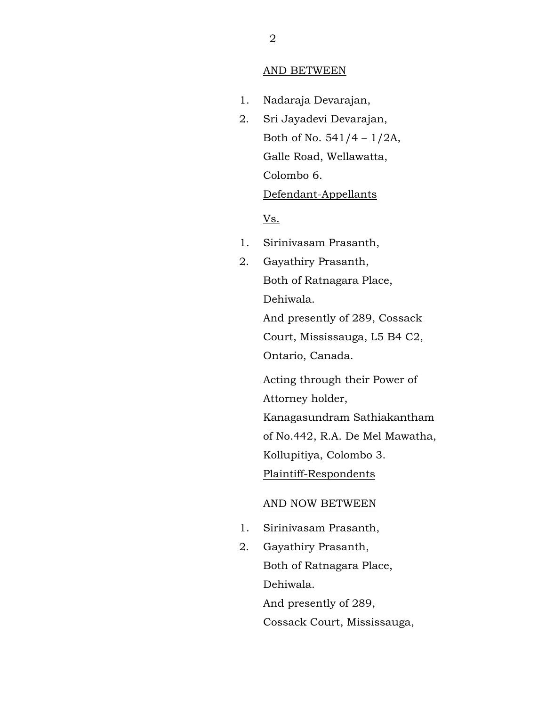## AND BETWEEN

- 1. Nadaraja Devarajan,
- 2. Sri Jayadevi Devarajan, Both of No.  $541/4 - 1/2A$ , Galle Road, Wellawatta, Colombo 6.

## Defendant-Appellants

Vs.

- 1. Sirinivasam Prasanth,
- 2. Gayathiry Prasanth, Both of Ratnagara Place, Dehiwala.

And presently of 289, Cossack Court, Mississauga, L5 B4 C2, Ontario, Canada.

Acting through their Power of Attorney holder, Kanagasundram Sathiakantham of No.442, R.A. De Mel Mawatha, Kollupitiya, Colombo 3. Plaintiff-Respondents

## AND NOW BETWEEN

- 1. Sirinivasam Prasanth,
- 2. Gayathiry Prasanth, Both of Ratnagara Place, Dehiwala. And presently of 289, Cossack Court, Mississauga,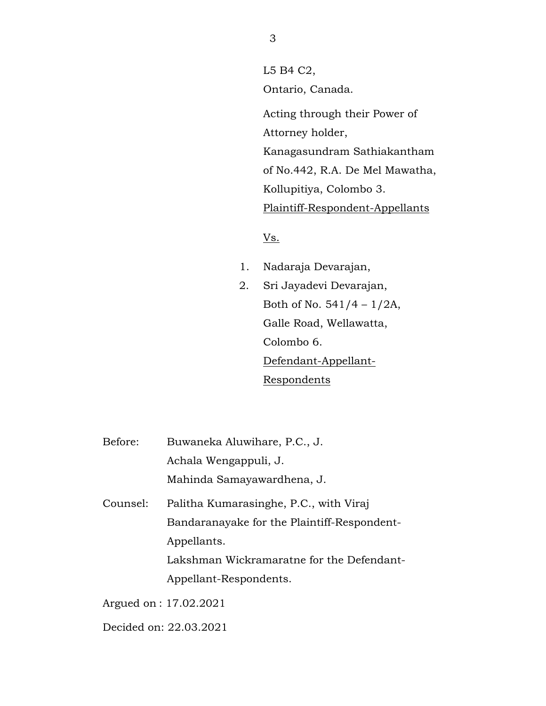L5 B4 C2, Ontario, Canada. Acting through their Power of Attorney holder, Kanagasundram Sathiakantham of No.442, R.A. De Mel Mawatha, Kollupitiya, Colombo 3. Plaintiff-Respondent-Appellants

Vs.

- 1. Nadaraja Devarajan,
- 2. Sri Jayadevi Devarajan, Both of No.  $541/4 - 1/2A$ , Galle Road, Wellawatta, Colombo 6. Defendant-Appellant-Respondents
- Before: Buwaneka Aluwihare, P.C., J. Achala Wengappuli, J. Mahinda Samayawardhena, J. Counsel: Palitha Kumarasinghe, P.C., with Viraj Bandaranayake for the Plaintiff-Respondent-Appellants. Lakshman Wickramaratne for the Defendant-

Appellant-Respondents.

Argued on : 17.02.2021

Decided on: 22.03.2021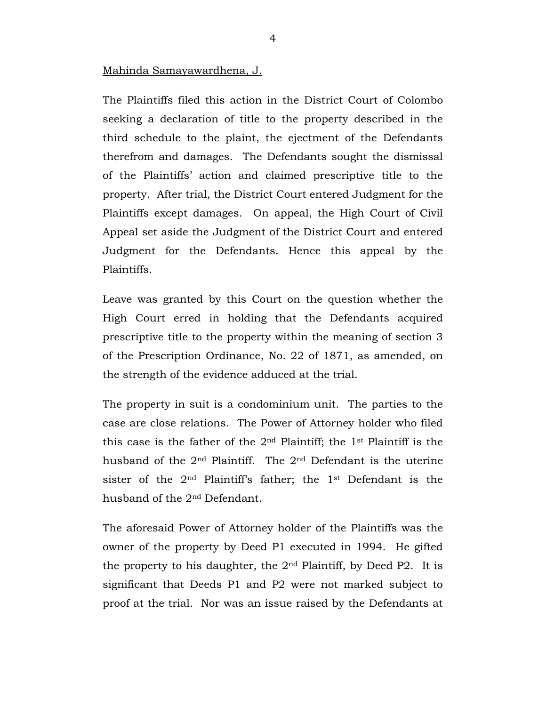Mahinda Samayawardhena, J.

The Plaintiffs filed this action in the District Court of Colombo seeking a declaration of title to the property described in the third schedule to the plaint, the ejectment of the Defendants therefrom and damages. The Defendants sought the dismissal of the Plaintiffs' action and claimed prescriptive title to the property. After trial, the District Court entered Judgment for the Plaintiffs except damages. On appeal, the High Court of Civil Appeal set aside the Judgment of the District Court and entered Judgment for the Defendants. Hence this appeal by the Plaintiffs.

Leave was granted by this Court on the question whether the High Court erred in holding that the Defendants acquired prescriptive title to the property within the meaning of section 3 of the Prescription Ordinance, No. 22 of 1871, as amended, on the strength of the evidence adduced at the trial.

The property in suit is a condominium unit. The parties to the case are close relations. The Power of Attorney holder who filed this case is the father of the 2nd Plaintiff; the 1st Plaintiff is the husband of the 2nd Plaintiff. The 2nd Defendant is the uterine sister of the 2nd Plaintiff's father; the 1st Defendant is the husband of the 2nd Defendant.

The aforesaid Power of Attorney holder of the Plaintiffs was the owner of the property by Deed P1 executed in 1994. He gifted the property to his daughter, the 2nd Plaintiff, by Deed P2. It is significant that Deeds P1 and P2 were not marked subject to proof at the trial. Nor was an issue raised by the Defendants at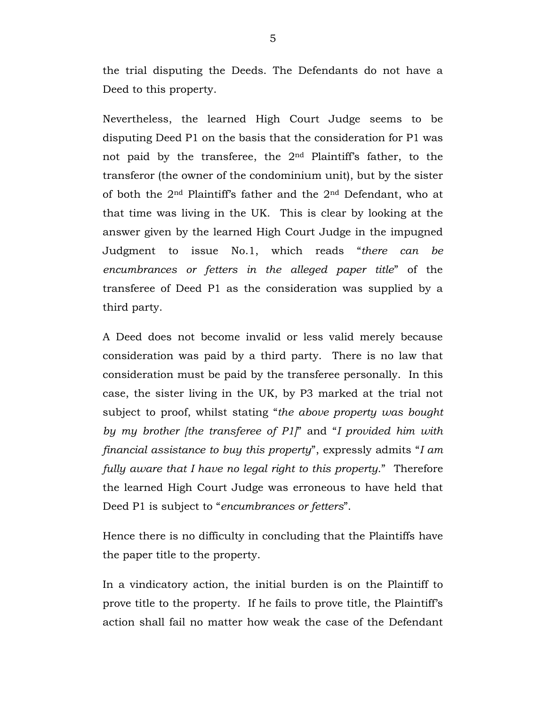the trial disputing the Deeds. The Defendants do not have a Deed to this property.

Nevertheless, the learned High Court Judge seems to be disputing Deed P1 on the basis that the consideration for P1 was not paid by the transferee, the 2nd Plaintiff's father, to the transferor (the owner of the condominium unit), but by the sister of both the 2nd Plaintiff's father and the 2nd Defendant, who at that time was living in the UK. This is clear by looking at the answer given by the learned High Court Judge in the impugned Judgment to issue No.1, which reads "*there can be encumbrances or fetters in the alleged paper title*" of the transferee of Deed P1 as the consideration was supplied by a third party.

A Deed does not become invalid or less valid merely because consideration was paid by a third party. There is no law that consideration must be paid by the transferee personally. In this case, the sister living in the UK, by P3 marked at the trial not subject to proof, whilst stating "*the above property was bought by my brother [the transferee of P1]*" and "*I provided him with financial assistance to buy this property*", expressly admits "*I am fully aware that I have no legal right to this property*." Therefore the learned High Court Judge was erroneous to have held that Deed P1 is subject to "*encumbrances or fetters*".

Hence there is no difficulty in concluding that the Plaintiffs have the paper title to the property.

In a vindicatory action, the initial burden is on the Plaintiff to prove title to the property. If he fails to prove title, the Plaintiff's action shall fail no matter how weak the case of the Defendant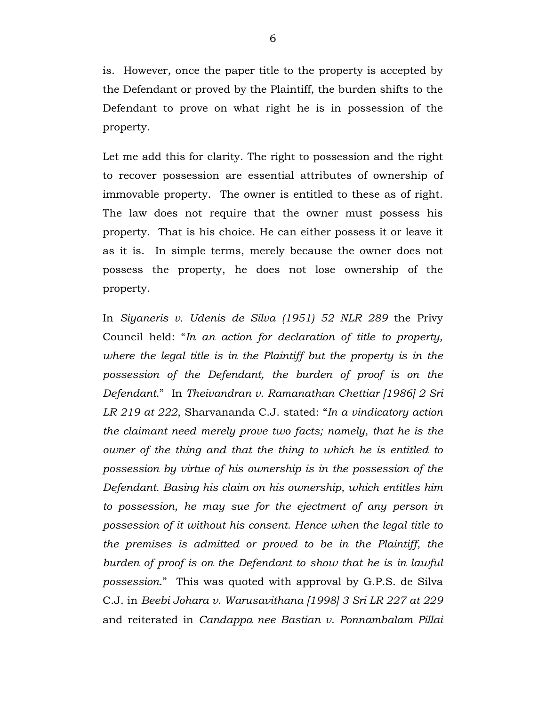is. However, once the paper title to the property is accepted by the Defendant or proved by the Plaintiff, the burden shifts to the Defendant to prove on what right he is in possession of the property.

Let me add this for clarity. The right to possession and the right to recover possession are essential attributes of ownership of immovable property. The owner is entitled to these as of right. The law does not require that the owner must possess his property. That is his choice. He can either possess it or leave it as it is. In simple terms, merely because the owner does not possess the property, he does not lose ownership of the property.

In *Siyaneris v. Udenis de Silva (1951) 52 NLR 289* the Privy Council held: "*In an action for declaration of title to property, where the legal title is in the Plaintiff but the property is in the possession of the Defendant, the burden of proof is on the Defendant*." In *Theivandran v. Ramanathan Chettiar [1986] 2 Sri LR 219 at 222*, Sharvananda C.J. stated: "*In a vindicatory action the claimant need merely prove two facts; namely, that he is the owner of the thing and that the thing to which he is entitled to possession by virtue of his ownership is in the possession of the Defendant. Basing his claim on his ownership, which entitles him to possession, he may sue for the ejectment of any person in possession of it without his consent. Hence when the legal title to the premises is admitted or proved to be in the Plaintiff, the burden of proof is on the Defendant to show that he is in lawful possession*." This was quoted with approval by G.P.S. de Silva C.J. in *Beebi Johara v. Warusavithana [1998] 3 Sri LR 227 at 229* and reiterated in *Candappa nee Bastian v. Ponnambalam Pillai*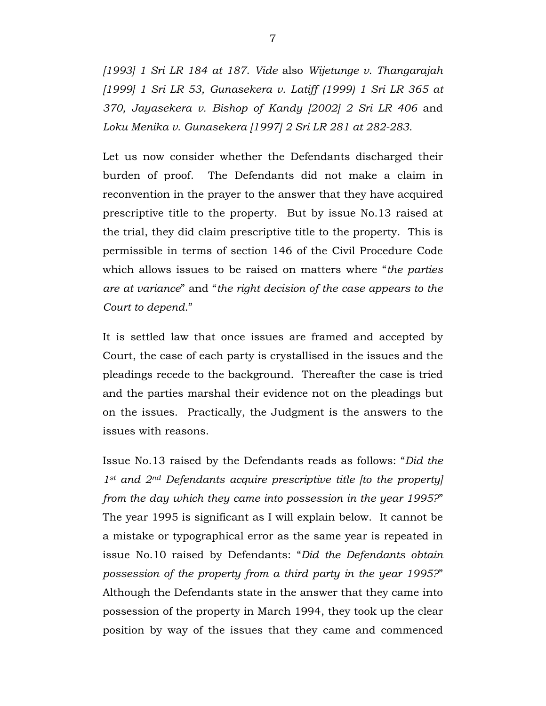*[1993] 1 Sri LR 184 at 187*. *Vide* also *Wijetunge v. Thangarajah [1999] 1 Sri LR 53, Gunasekera v. Latiff (1999) 1 Sri LR 365 at 370, Jayasekera v. Bishop of Kandy [2002] 2 Sri LR 406* and *Loku Menika v. Gunasekera [1997] 2 Sri LR 281 at 282-283*.

Let us now consider whether the Defendants discharged their burden of proof. The Defendants did not make a claim in reconvention in the prayer to the answer that they have acquired prescriptive title to the property. But by issue No.13 raised at the trial, they did claim prescriptive title to the property. This is permissible in terms of section 146 of the Civil Procedure Code which allows issues to be raised on matters where "*the parties are at variance*" and "*the right decision of the case appears to the Court to depend*."

It is settled law that once issues are framed and accepted by Court, the case of each party is crystallised in the issues and the pleadings recede to the background. Thereafter the case is tried and the parties marshal their evidence not on the pleadings but on the issues. Practically, the Judgment is the answers to the issues with reasons.

Issue No.13 raised by the Defendants reads as follows: "*Did the 1st and 2nd Defendants acquire prescriptive title [to the property] from the day which they came into possession in the year 1995?*" The year 1995 is significant as I will explain below. It cannot be a mistake or typographical error as the same year is repeated in issue No.10 raised by Defendants: "*Did the Defendants obtain possession of the property from a third party in the year 1995?*" Although the Defendants state in the answer that they came into possession of the property in March 1994, they took up the clear position by way of the issues that they came and commenced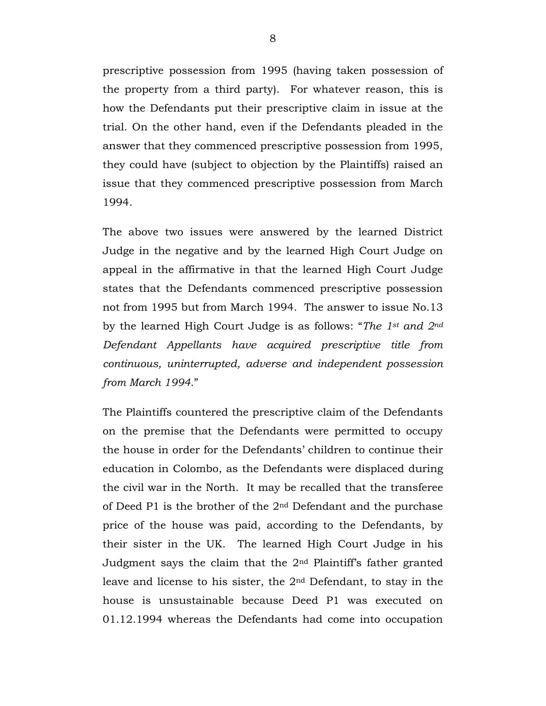prescriptive possession from 1995 (having taken possession of the property from a third party). For whatever reason, this is how the Defendants put their prescriptive claim in issue at the trial. On the other hand, even if the Defendants pleaded in the answer that they commenced prescriptive possession from 1995, they could have (subject to objection by the Plaintiffs) raised an issue that they commenced prescriptive possession from March 1994.

The above two issues were answered by the learned District Judge in the negative and by the learned High Court Judge on appeal in the affirmative in that the learned High Court Judge states that the Defendants commenced prescriptive possession not from 1995 but from March 1994. The answer to issue No.13 by the learned High Court Judge is as follows: "*The 1st and 2nd Defendant Appellants have acquired prescriptive title from continuous, uninterrupted, adverse and independent possession from March 1994*."

The Plaintiffs countered the prescriptive claim of the Defendants on the premise that the Defendants were permitted to occupy the house in order for the Defendants' children to continue their education in Colombo, as the Defendants were displaced during the civil war in the North. It may be recalled that the transferee of Deed P1 is the brother of the 2nd Defendant and the purchase price of the house was paid, according to the Defendants, by their sister in the UK. The learned High Court Judge in his Judgment says the claim that the 2nd Plaintiff's father granted leave and license to his sister, the 2nd Defendant, to stay in the house is unsustainable because Deed P1 was executed on 01.12.1994 whereas the Defendants had come into occupation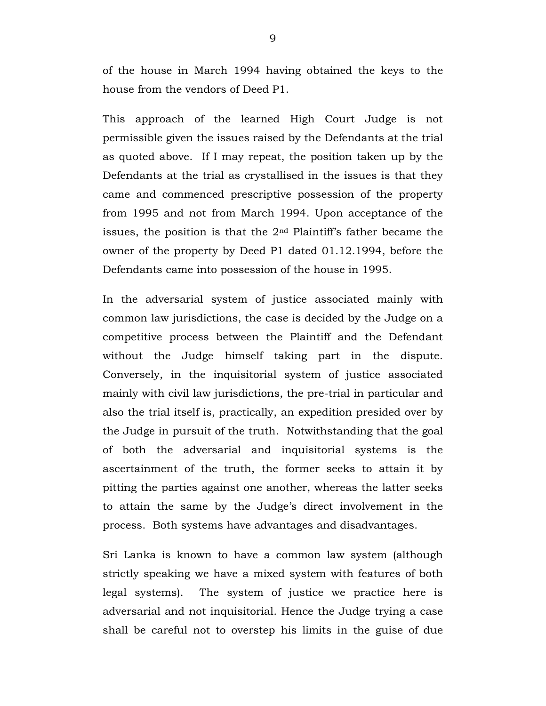of the house in March 1994 having obtained the keys to the house from the vendors of Deed P1.

This approach of the learned High Court Judge is not permissible given the issues raised by the Defendants at the trial as quoted above. If I may repeat, the position taken up by the Defendants at the trial as crystallised in the issues is that they came and commenced prescriptive possession of the property from 1995 and not from March 1994. Upon acceptance of the issues, the position is that the 2nd Plaintiff's father became the owner of the property by Deed P1 dated 01.12.1994, before the Defendants came into possession of the house in 1995.

In the adversarial system of justice associated mainly with common law jurisdictions, the case is decided by the Judge on a competitive process between the Plaintiff and the Defendant without the Judge himself taking part in the dispute. Conversely, in the inquisitorial system of justice associated mainly with civil law jurisdictions, the pre-trial in particular and also the trial itself is, practically, an expedition presided over by the Judge in pursuit of the truth. Notwithstanding that the goal of both the adversarial and inquisitorial systems is the ascertainment of the truth, the former seeks to attain it by pitting the parties against one another, whereas the latter seeks to attain the same by the Judge's direct involvement in the process. Both systems have advantages and disadvantages.

Sri Lanka is known to have a common law system (although strictly speaking we have a mixed system with features of both legal systems). The system of justice we practice here is adversarial and not inquisitorial. Hence the Judge trying a case shall be careful not to overstep his limits in the guise of due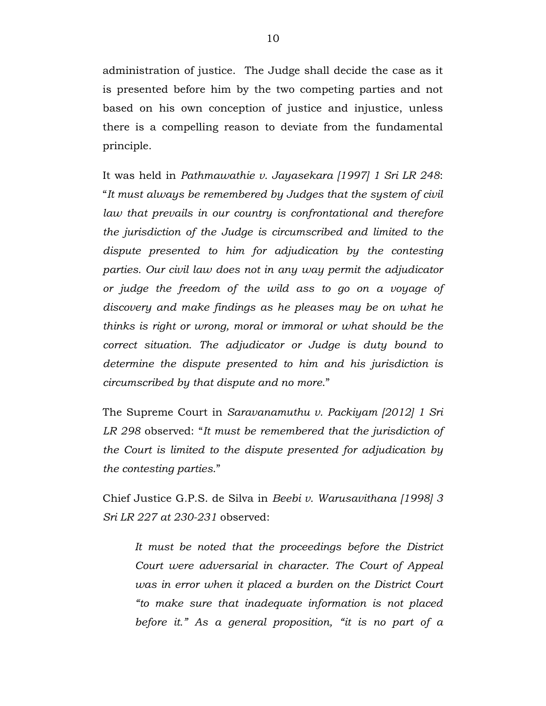administration of justice. The Judge shall decide the case as it is presented before him by the two competing parties and not based on his own conception of justice and injustice, unless there is a compelling reason to deviate from the fundamental principle.

It was held in *Pathmawathie v. Jayasekara [1997] 1 Sri LR 248*: "*It must always be remembered by Judges that the system of civil law that prevails in our country is confrontational and therefore the jurisdiction of the Judge is circumscribed and limited to the dispute presented to him for adjudication by the contesting parties. Our civil law does not in any way permit the adjudicator or judge the freedom of the wild ass to go on a voyage of discovery and make findings as he pleases may be on what he thinks is right or wrong, moral or immoral or what should be the correct situation. The adjudicator or Judge is duty bound to determine the dispute presented to him and his jurisdiction is circumscribed by that dispute and no more*."

The Supreme Court in *Saravanamuthu v. Packiyam [2012] 1 Sri LR 298* observed: "*It must be remembered that the jurisdiction of the Court is limited to the dispute presented for adjudication by the contesting parties*."

Chief Justice G.P.S. de Silva in *Beebi v. Warusavithana [1998] 3 Sri LR 227 at 230-231* observed:

*It must be noted that the proceedings before the District Court were adversarial in character. The Court of Appeal was in error when it placed a burden on the District Court "to make sure that inadequate information is not placed before it." As a general proposition, "it is no part of a*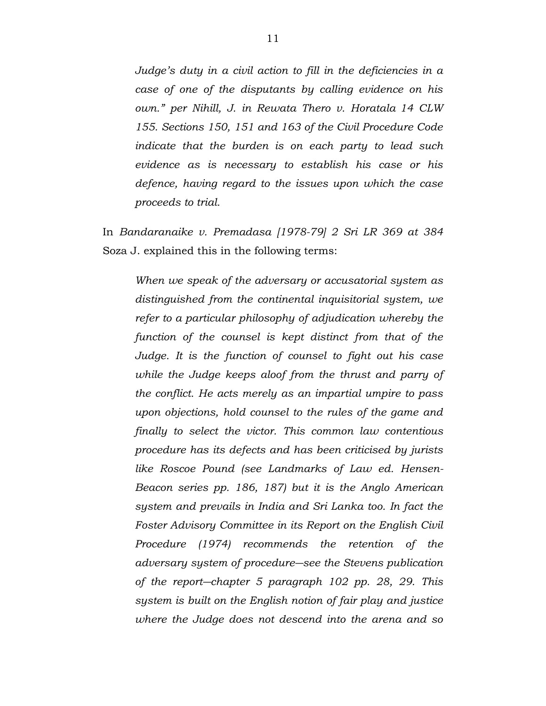*Judge's duty in a civil action to fill in the deficiencies in a case of one of the disputants by calling evidence on his own." per Nihill, J. in Rewata Thero v. Horatala 14 CLW 155. Sections 150, 151 and 163 of the Civil Procedure Code indicate that the burden is on each party to lead such evidence as is necessary to establish his case or his defence, having regard to the issues upon which the case proceeds to trial.*

In *Bandaranaike v. Premadasa [1978-79] 2 Sri LR 369 at 384* Soza J. explained this in the following terms:

*When we speak of the adversary or accusatorial system as distinguished from the continental inquisitorial system, we refer to a particular philosophy of adjudication whereby the function of the counsel is kept distinct from that of the Judge. It is the function of counsel to fight out his case while the Judge keeps aloof from the thrust and parry of the conflict. He acts merely as an impartial umpire to pass upon objections, hold counsel to the rules of the game and finally to select the victor. This common law contentious procedure has its defects and has been criticised by jurists like Roscoe Pound (see Landmarks of Law ed. Hensen-Beacon series pp. 186, 187) but it is the Anglo American system and prevails in India and Sri Lanka too. In fact the Foster Advisory Committee in its Report on the English Civil Procedure (1974) recommends the retention of the adversary system of procedure―see the Stevens publication of the report―chapter 5 paragraph 102 pp. 28, 29. This system is built on the English notion of fair play and justice where the Judge does not descend into the arena and so*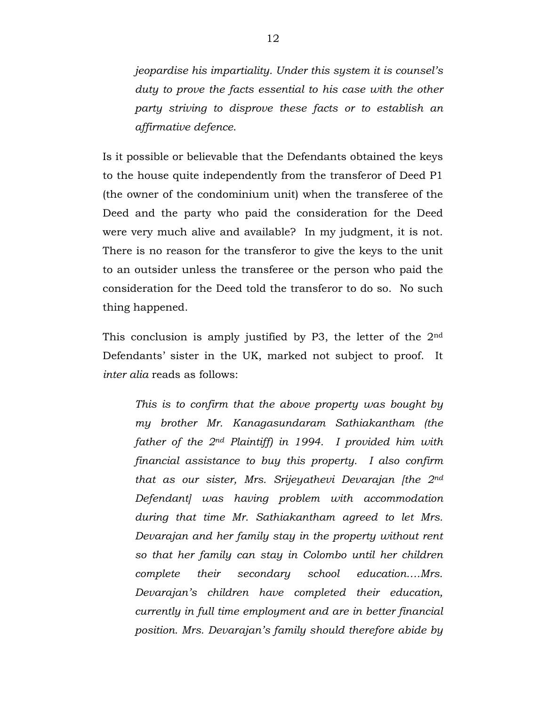*jeopardise his impartiality. Under this system it is counsel's duty to prove the facts essential to his case with the other party striving to disprove these facts or to establish an affirmative defence*.

Is it possible or believable that the Defendants obtained the keys to the house quite independently from the transferor of Deed P1 (the owner of the condominium unit) when the transferee of the Deed and the party who paid the consideration for the Deed were very much alive and available? In my judgment, it is not. There is no reason for the transferor to give the keys to the unit to an outsider unless the transferee or the person who paid the consideration for the Deed told the transferor to do so. No such thing happened.

This conclusion is amply justified by P3, the letter of the 2nd Defendants' sister in the UK, marked not subject to proof. It *inter alia* reads as follows:

*This is to confirm that the above property was bought by my brother Mr. Kanagasundaram Sathiakantham (the father of the 2nd Plaintiff) in 1994. I provided him with financial assistance to buy this property. I also confirm that as our sister, Mrs. Srijeyathevi Devarajan [the 2nd Defendant] was having problem with accommodation during that time Mr. Sathiakantham agreed to let Mrs. Devarajan and her family stay in the property without rent so that her family can stay in Colombo until her children complete their secondary school education….Mrs. Devarajan's children have completed their education, currently in full time employment and are in better financial position. Mrs. Devarajan's family should therefore abide by*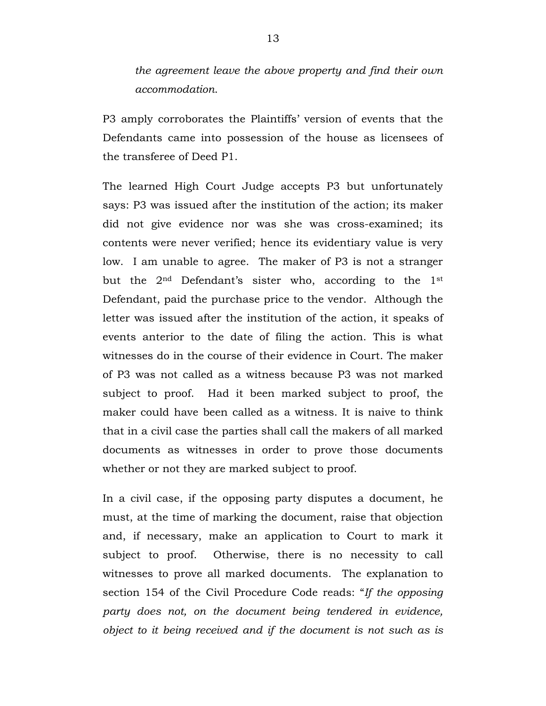*the agreement leave the above property and find their own accommodation*.

P3 amply corroborates the Plaintiffs' version of events that the Defendants came into possession of the house as licensees of the transferee of Deed P1.

The learned High Court Judge accepts P3 but unfortunately says: P3 was issued after the institution of the action; its maker did not give evidence nor was she was cross-examined; its contents were never verified; hence its evidentiary value is very low. I am unable to agree. The maker of P3 is not a stranger but the 2nd Defendant's sister who, according to the 1st Defendant, paid the purchase price to the vendor. Although the letter was issued after the institution of the action, it speaks of events anterior to the date of filing the action. This is what witnesses do in the course of their evidence in Court. The maker of P3 was not called as a witness because P3 was not marked subject to proof. Had it been marked subject to proof, the maker could have been called as a witness. It is naive to think that in a civil case the parties shall call the makers of all marked documents as witnesses in order to prove those documents whether or not they are marked subject to proof.

In a civil case, if the opposing party disputes a document, he must, at the time of marking the document, raise that objection and, if necessary, make an application to Court to mark it subject to proof. Otherwise, there is no necessity to call witnesses to prove all marked documents. The explanation to section 154 of the Civil Procedure Code reads: "*If the opposing party does not, on the document being tendered in evidence, object to it being received and if the document is not such as is*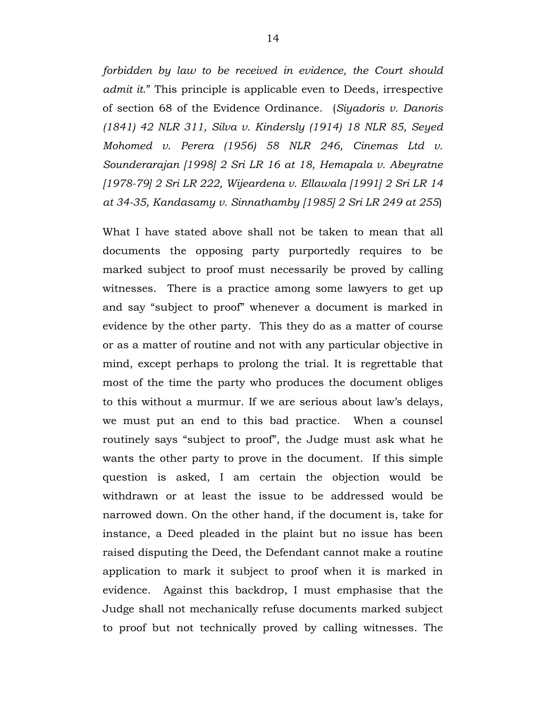*forbidden by law to be received in evidence, the Court should admit it*." This principle is applicable even to Deeds, irrespective of section 68 of the Evidence Ordinance. (*Siyadoris v. Danoris (1841) 42 NLR 311, Silva v. Kindersly (1914) 18 NLR 85, Seyed Mohomed v. Perera (1956) 58 NLR 246, Cinemas Ltd v. Sounderarajan [1998] 2 Sri LR 16 at 18, Hemapala v. Abeyratne [1978-79] 2 Sri LR 222, Wijeardena v. Ellawala [1991] 2 Sri LR 14 at 34-35, Kandasamy v. Sinnathamby [1985] 2 Sri LR 249 at 255*)

What I have stated above shall not be taken to mean that all documents the opposing party purportedly requires to be marked subject to proof must necessarily be proved by calling witnesses. There is a practice among some lawyers to get up and say "subject to proof" whenever a document is marked in evidence by the other party. This they do as a matter of course or as a matter of routine and not with any particular objective in mind, except perhaps to prolong the trial. It is regrettable that most of the time the party who produces the document obliges to this without a murmur. If we are serious about law's delays, we must put an end to this bad practice. When a counsel routinely says "subject to proof", the Judge must ask what he wants the other party to prove in the document. If this simple question is asked, I am certain the objection would be withdrawn or at least the issue to be addressed would be narrowed down. On the other hand, if the document is, take for instance, a Deed pleaded in the plaint but no issue has been raised disputing the Deed, the Defendant cannot make a routine application to mark it subject to proof when it is marked in evidence. Against this backdrop, I must emphasise that the Judge shall not mechanically refuse documents marked subject to proof but not technically proved by calling witnesses. The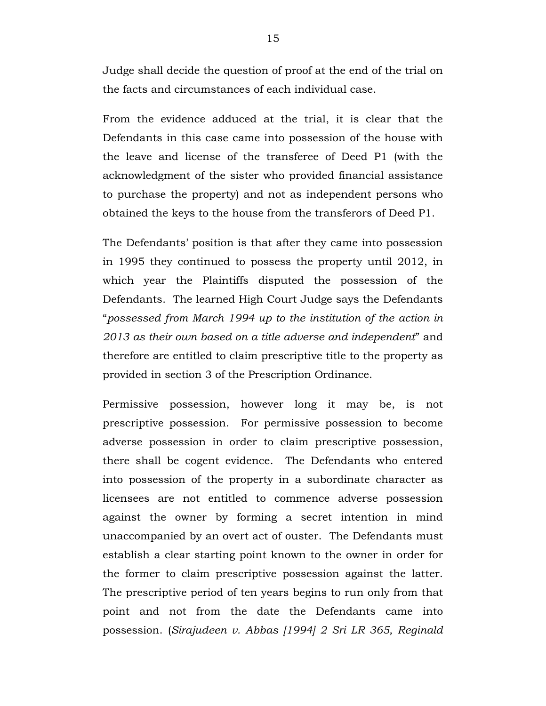Judge shall decide the question of proof at the end of the trial on the facts and circumstances of each individual case.

From the evidence adduced at the trial, it is clear that the Defendants in this case came into possession of the house with the leave and license of the transferee of Deed P1 (with the acknowledgment of the sister who provided financial assistance to purchase the property) and not as independent persons who obtained the keys to the house from the transferors of Deed P1.

The Defendants' position is that after they came into possession in 1995 they continued to possess the property until 2012, in which year the Plaintiffs disputed the possession of the Defendants. The learned High Court Judge says the Defendants "*possessed from March 1994 up to the institution of the action in 2013 as their own based on a title adverse and independent*" and therefore are entitled to claim prescriptive title to the property as provided in section 3 of the Prescription Ordinance.

Permissive possession, however long it may be, is not prescriptive possession. For permissive possession to become adverse possession in order to claim prescriptive possession, there shall be cogent evidence. The Defendants who entered into possession of the property in a subordinate character as licensees are not entitled to commence adverse possession against the owner by forming a secret intention in mind unaccompanied by an overt act of ouster. The Defendants must establish a clear starting point known to the owner in order for the former to claim prescriptive possession against the latter. The prescriptive period of ten years begins to run only from that point and not from the date the Defendants came into possession. (*Sirajudeen v. Abbas [1994] 2 Sri LR 365, Reginald*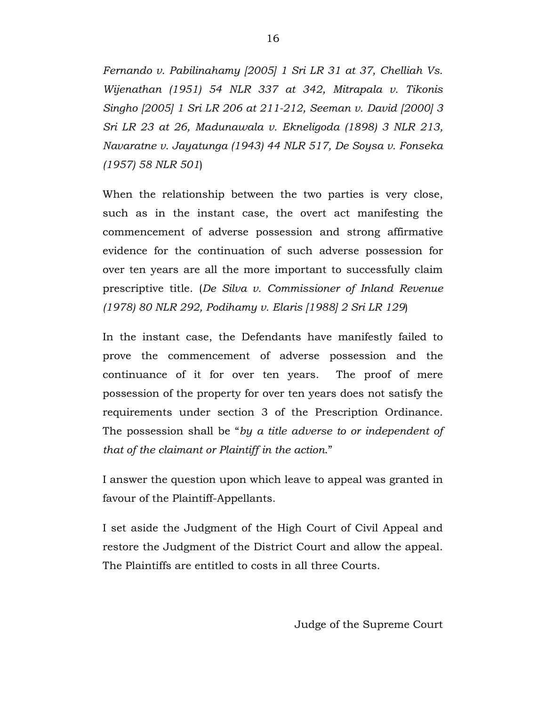*Fernando v. Pabilinahamy [2005] 1 Sri LR 31 at 37, Chelliah Vs. Wijenathan (1951) 54 NLR 337 at 342, Mitrapala v. Tikonis Singho [2005] 1 Sri LR 206 at 211-212, Seeman v. David [2000] 3 Sri LR 23 at 26, Madunawala v. Ekneligoda (1898) 3 NLR 213, Navaratne v. Jayatunga (1943) 44 NLR 517, De Soysa v. Fonseka (1957) 58 NLR 501*)

When the relationship between the two parties is very close, such as in the instant case, the overt act manifesting the commencement of adverse possession and strong affirmative evidence for the continuation of such adverse possession for over ten years are all the more important to successfully claim prescriptive title. (*De Silva v. Commissioner of Inland Revenue (1978) 80 NLR 292, Podihamy v. Elaris [1988] 2 Sri LR 129*)

In the instant case, the Defendants have manifestly failed to prove the commencement of adverse possession and the continuance of it for over ten years. The proof of mere possession of the property for over ten years does not satisfy the requirements under section 3 of the Prescription Ordinance. The possession shall be "*by a title adverse to or independent of that of the claimant or Plaintiff in the action*."

I answer the question upon which leave to appeal was granted in favour of the Plaintiff-Appellants.

I set aside the Judgment of the High Court of Civil Appeal and restore the Judgment of the District Court and allow the appeal. The Plaintiffs are entitled to costs in all three Courts.